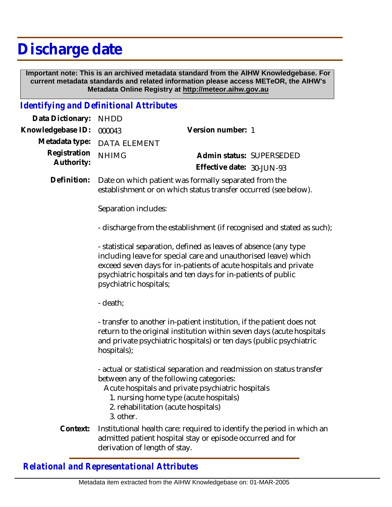# **Discharge date**

 **Important note: This is an archived metadata standard from the AIHW Knowledgebase. For current metadata standards and related information please access METeOR, the AIHW's Metadata Online Registry at http://meteor.aihw.gov.au**

## *Identifying and Definitional Attributes*

| Data Dictionary: NHDD    |                             |                              |  |
|--------------------------|-----------------------------|------------------------------|--|
| Knowledgebase ID: 000043 |                             | Version number: 1            |  |
|                          | Metadata type: DATA ELEMENT |                              |  |
| Registration NHIMG       |                             | Admin status: SUPERSEDED     |  |
| Authority:               |                             | Effective date: $30$ -JUN-93 |  |

Date on which patient was formally separated from the establishment or on which status transfer occurred (see below). **Definition:**

Separation includes:

- discharge from the establishment (if recognised and stated as such);

- statistical separation, defined as leaves of absence (any type including leave for special care and unauthorised leave) which exceed seven days for in-patients of acute hospitals and private psychiatric hospitals and ten days for in-patients of public psychiatric hospitals;

- death;

- transfer to another in-patient institution, if the patient does not return to the original institution within seven days (acute hospitals and private psychiatric hospitals) or ten days (public psychiatric hospitals);

- actual or statistical separation and readmission on status transfer between any of the following categories:

Acute hospitals and private psychiatric hospitals

- 1. nursing home type (acute hospitals)
- 2. rehabilitation (acute hospitals)
- 3. other.
- Institutional health care: required to identify the period in which an admitted patient hospital stay or episode occurred and for derivation of length of stay. **Context:**

*Relational and Representational Attributes*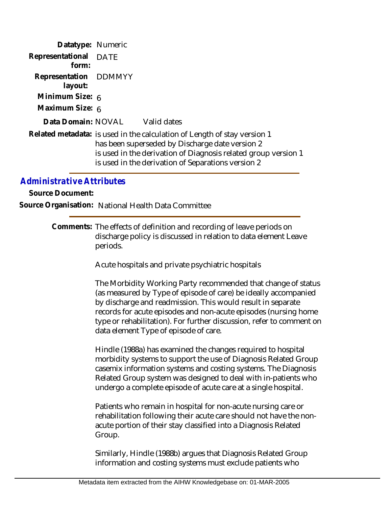| Datatype: Numeric                |                                                                                                                                                                                                                                                     |
|----------------------------------|-----------------------------------------------------------------------------------------------------------------------------------------------------------------------------------------------------------------------------------------------------|
| Representational DATE<br>form:   |                                                                                                                                                                                                                                                     |
| Representation DDMMYY<br>layout: |                                                                                                                                                                                                                                                     |
| Minimum Size: 6                  |                                                                                                                                                                                                                                                     |
| Maximum Size: 6                  |                                                                                                                                                                                                                                                     |
|                                  | Data Domain: NOVAL Valid dates                                                                                                                                                                                                                      |
|                                  | Related metadata: is used in the calculation of Length of stay version 1<br>has been superseded by Discharge date version 2<br>is used in the derivation of Diagnosis related group version 1<br>is used in the derivation of Separations version 2 |

# *Administrative Attributes*

**Source Document:**

**Source Organisation:** National Health Data Committee

Comments: The effects of definition and recording of leave periods on discharge policy is discussed in relation to data element Leave periods.

Acute hospitals and private psychiatric hospitals

The Morbidity Working Party recommended that change of status (as measured by Type of episode of care) be ideally accompanied by discharge and readmission. This would result in separate records for acute episodes and non-acute episodes (nursing home type or rehabilitation). For further discussion, refer to comment on data element Type of episode of care.

Hindle (1988a) has examined the changes required to hospital morbidity systems to support the use of Diagnosis Related Group casemix information systems and costing systems. The Diagnosis Related Group system was designed to deal with in-patients who undergo a complete episode of acute care at a single hospital.

Patients who remain in hospital for non-acute nursing care or rehabilitation following their acute care should not have the nonacute portion of their stay classified into a Diagnosis Related Group.

Similarly, Hindle (1988b) argues that Diagnosis Related Group information and costing systems must exclude patients who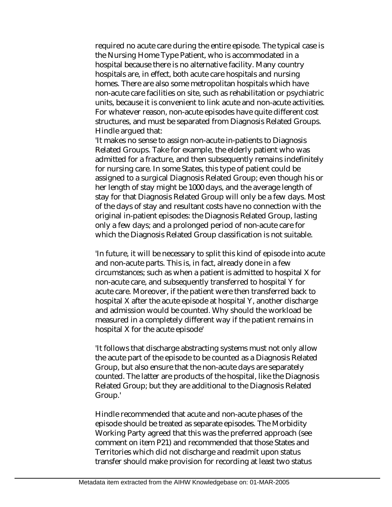required no acute care during the entire episode. The typical case is the Nursing Home Type Patient, who is accommodated in a hospital because there is no alternative facility. Many country hospitals are, in effect, both acute care hospitals and nursing homes. There are also some metropolitan hospitals which have non-acute care facilities on site, such as rehabilitation or psychiatric units, because it is convenient to link acute and non-acute activities. For whatever reason, non-acute episodes have quite different cost structures, and must be separated from Diagnosis Related Groups. Hindle argued that:

'It makes no sense to assign non-acute in-patients to Diagnosis Related Groups. Take for example, the elderly patient who was admitted for a fracture, and then subsequently remains indefinitely for nursing care. In some States, this type of patient could be assigned to a surgical Diagnosis Related Group; even though his or her length of stay might be 1000 days, and the average length of stay for that Diagnosis Related Group will only be a few days. Most of the days of stay and resultant costs have no connection with the original in-patient episodes: the Diagnosis Related Group, lasting only a few days; and a prolonged period of non-acute care for which the Diagnosis Related Group classification is not suitable.

'In future, it will be necessary to split this kind of episode into acute and non-acute parts. This is, in fact, already done in a few circumstances; such as when a patient is admitted to hospital X for non-acute care, and subsequently transferred to hospital Y for acute care. Moreover, if the patient were then transferred back to hospital X after the acute episode at hospital Y, another discharge and admission would be counted. Why should the workload be measured in a completely different way if the patient remains in hospital X for the acute episode'

'It follows that discharge abstracting systems must not only allow the acute part of the episode to be counted as a Diagnosis Related Group, but also ensure that the non-acute days are separately counted. The latter are products of the hospital, like the Diagnosis Related Group; but they are additional to the Diagnosis Related Group.'

Hindle recommended that acute and non-acute phases of the episode should be treated as separate episodes. The Morbidity Working Party agreed that this was the preferred approach (see comment on item P21) and recommended that those States and Territories which did not discharge and readmit upon status transfer should make provision for recording at least two status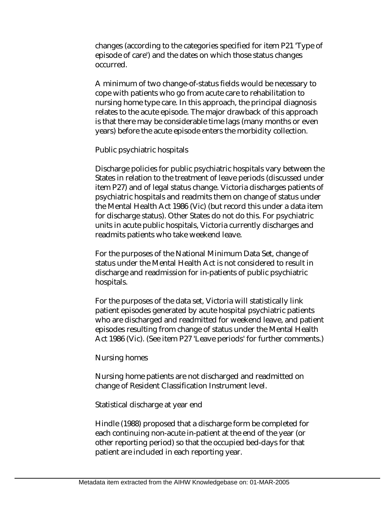changes (according to the categories specified for item P21 'Type of episode of care') and the dates on which those status changes occurred.

A minimum of two change-of-status fields would be necessary to cope with patients who go from acute care to rehabilitation to nursing home type care. In this approach, the principal diagnosis relates to the acute episode. The major drawback of this approach is that there may be considerable time lags (many months or even years) before the acute episode enters the morbidity collection.

#### Public psychiatric hospitals

Discharge policies for public psychiatric hospitals vary between the States in relation to the treatment of leave periods (discussed under item P27) and of legal status change. Victoria discharges patients of psychiatric hospitals and readmits them on change of status under the Mental Health Act 1986 (Vic) (but record this under a data item for discharge status). Other States do not do this. For psychiatric units in acute public hospitals, Victoria currently discharges and readmits patients who take weekend leave.

For the purposes of the National Minimum Data Set, change of status under the Mental Health Act is not considered to result in discharge and readmission for in-patients of public psychiatric hospitals.

For the purposes of the data set, Victoria will statistically link patient episodes generated by acute hospital psychiatric patients who are discharged and readmitted for weekend leave, and patient episodes resulting from change of status under the Mental Health Act 1986 (Vic). (See item P27 'Leave periods' for further comments.)

#### Nursing homes

Nursing home patients are not discharged and readmitted on change of Resident Classification Instrument level.

#### Statistical discharge at year end

Hindle (1988) proposed that a discharge form be completed for each continuing non-acute in-patient at the end of the year (or other reporting period) so that the occupied bed-days for that patient are included in each reporting year.